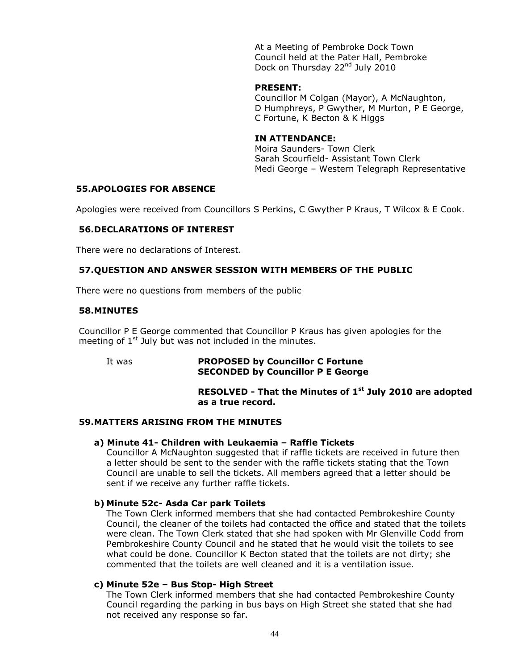At a Meeting of Pembroke Dock Town Council held at the Pater Hall, Pembroke Dock on Thursday 22<sup>nd</sup> July 2010

#### **PRESENT:**

Councillor M Colgan (Mayor), A McNaughton, D Humphreys, P Gwyther, M Murton, P E George, C Fortune, K Becton & K Higgs

# **IN ATTENDANCE:**

Moira Saunders- Town Clerk Sarah Scourfield- Assistant Town Clerk Medi George – Western Telegraph Representative

# **55.APOLOGIES FOR ABSENCE**

Apologies were received from Councillors S Perkins, C Gwyther P Kraus, T Wilcox & E Cook.

# **56.DECLARATIONS OF INTEREST**

There were no declarations of Interest.

# **57.QUESTION AND ANSWER SESSION WITH MEMBERS OF THE PUBLIC**

There were no questions from members of the public

# **58.MINUTES**

Councillor P E George commented that Councillor P Kraus has given apologies for the meeting of  $1<sup>st</sup>$  July but was not included in the minutes.

It was **PROPOSED by Councillor C Fortune SECONDED by Councillor P E George**

# **RESOLVED - That the Minutes of 1 st July 2010 are adopted as a true record.**

# **59.MATTERS ARISING FROM THE MINUTES**

# **a) Minute 41- Children with Leukaemia – Raffle Tickets**

Councillor A McNaughton suggested that if raffle tickets are received in future then a letter should be sent to the sender with the raffle tickets stating that the Town Council are unable to sell the tickets. All members agreed that a letter should be sent if we receive any further raffle tickets.

# **b) Minute 52c- Asda Car park Toilets**

The Town Clerk informed members that she had contacted Pembrokeshire County Council, the cleaner of the toilets had contacted the office and stated that the toilets were clean. The Town Clerk stated that she had spoken with Mr Glenville Codd from Pembrokeshire County Council and he stated that he would visit the toilets to see what could be done. Councillor K Becton stated that the toilets are not dirty; she commented that the toilets are well cleaned and it is a ventilation issue.

# **c) Minute 52e – Bus Stop- High Street**

The Town Clerk informed members that she had contacted Pembrokeshire County Council regarding the parking in bus bays on High Street she stated that she had not received any response so far.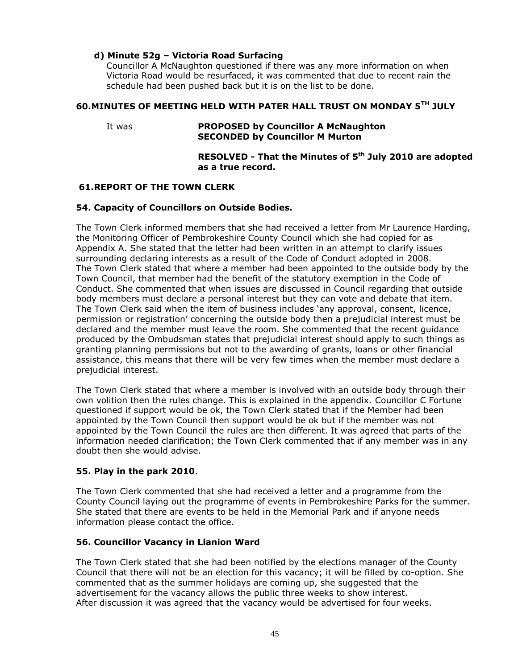# **d) Minute 52g – Victoria Road Surfacing**

Councillor A McNaughton questioned if there was any more information on when Victoria Road would be resurfaced, it was commented that due to recent rain the schedule had been pushed back but it is on the list to be done.

# **60.MINUTES OF MEETING HELD WITH PATER HALL TRUST ON MONDAY 5TH JULY**

#### It was **PROPOSED by Councillor A McNaughton SECONDED by Councillor M Murton**

# **RESOLVED - That the Minutes of 5th July 2010 are adopted as a true record.**

# **61.REPORT OF THE TOWN CLERK**

# **54. Capacity of Councillors on Outside Bodies.**

The Town Clerk informed members that she had received a letter from Mr Laurence Harding, the Monitoring Officer of Pembrokeshire County Council which she had copied for as Appendix A. She stated that the letter had been written in an attempt to clarify issues surrounding declaring interests as a result of the Code of Conduct adopted in 2008. The Town Clerk stated that where a member had been appointed to the outside body by the Town Council, that member had the benefit of the statutory exemption in the Code of Conduct. She commented that when issues are discussed in Council regarding that outside body members must declare a personal interest but they can vote and debate that item. The Town Clerk said when the item of business includes 'any approval, consent, licence, permission or registration' concerning the outside body then a prejudicial interest must be declared and the member must leave the room. She commented that the recent guidance produced by the Ombudsman states that prejudicial interest should apply to such things as granting planning permissions but not to the awarding of grants, loans or other financial assistance, this means that there will be very few times when the member must declare a prejudicial interest.

The Town Clerk stated that where a member is involved with an outside body through their own volition then the rules change. This is explained in the appendix. Councillor C Fortune questioned if support would be ok, the Town Clerk stated that if the Member had been appointed by the Town Council then support would be ok but if the member was not appointed by the Town Council the rules are then different. It was agreed that parts of the information needed clarification; the Town Clerk commented that if any member was in any doubt then she would advise.

# **55. Play in the park 2010**.

The Town Clerk commented that she had received a letter and a programme from the County Council laying out the programme of events in Pembrokeshire Parks for the summer. She stated that there are events to be held in the Memorial Park and if anyone needs information please contact the office.

# **56. Councillor Vacancy in Llanion Ward**

The Town Clerk stated that she had been notified by the elections manager of the County Council that there will not be an election for this vacancy; it will be filled by co-option. She commented that as the summer holidays are coming up, she suggested that the advertisement for the vacancy allows the public three weeks to show interest. After discussion it was agreed that the vacancy would be advertised for four weeks.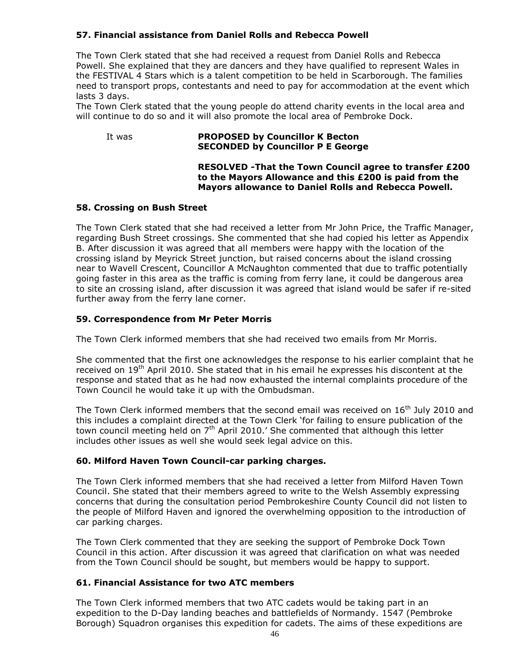# **57. Financial assistance from Daniel Rolls and Rebecca Powell**

The Town Clerk stated that she had received a request from Daniel Rolls and Rebecca Powell. She explained that they are dancers and they have qualified to represent Wales in the FESTIVAL 4 Stars which is a talent competition to be held in Scarborough. The families need to transport props, contestants and need to pay for accommodation at the event which lasts 3 days.

The Town Clerk stated that the young people do attend charity events in the local area and will continue to do so and it will also promote the local area of Pembroke Dock.

# It was **PROPOSED by Councillor K Becton SECONDED by Councillor P E George**

#### **RESOLVED -That the Town Council agree to transfer £200 to the Mayors Allowance and this £200 is paid from the Mayors allowance to Daniel Rolls and Rebecca Powell.**

# **58. Crossing on Bush Street**

The Town Clerk stated that she had received a letter from Mr John Price, the Traffic Manager, regarding Bush Street crossings. She commented that she had copied his letter as Appendix B. After discussion it was agreed that all members were happy with the location of the crossing island by Meyrick Street junction, but raised concerns about the island crossing near to Wavell Crescent, Councillor A McNaughton commented that due to traffic potentially going faster in this area as the traffic is coming from ferry lane, it could be dangerous area to site an crossing island, after discussion it was agreed that island would be safer if re-sited further away from the ferry lane corner.

# **59. Correspondence from Mr Peter Morris**

The Town Clerk informed members that she had received two emails from Mr Morris.

She commented that the first one acknowledges the response to his earlier complaint that he received on 19<sup>th</sup> April 2010. She stated that in his email he expresses his discontent at the response and stated that as he had now exhausted the internal complaints procedure of the Town Council he would take it up with the Ombudsman.

The Town Clerk informed members that the second email was received on  $16<sup>th</sup>$  July 2010 and this includes a complaint directed at the Town Clerk 'for failing to ensure publication of the town council meeting held on  $7<sup>th</sup>$  April 2010.' She commented that although this letter includes other issues as well she would seek legal advice on this.

# **60. Milford Haven Town Council-car parking charges.**

The Town Clerk informed members that she had received a letter from Milford Haven Town Council. She stated that their members agreed to write to the Welsh Assembly expressing concerns that during the consultation period Pembrokeshire County Council did not listen to the people of Milford Haven and ignored the overwhelming opposition to the introduction of car parking charges.

The Town Clerk commented that they are seeking the support of Pembroke Dock Town Council in this action. After discussion it was agreed that clarification on what was needed from the Town Council should be sought, but members would be happy to support.

# **61. Financial Assistance for two ATC members**

The Town Clerk informed members that two ATC cadets would be taking part in an expedition to the D-Day landing beaches and battlefields of Normandy. 1547 (Pembroke Borough) Squadron organises this expedition for cadets. The aims of these expeditions are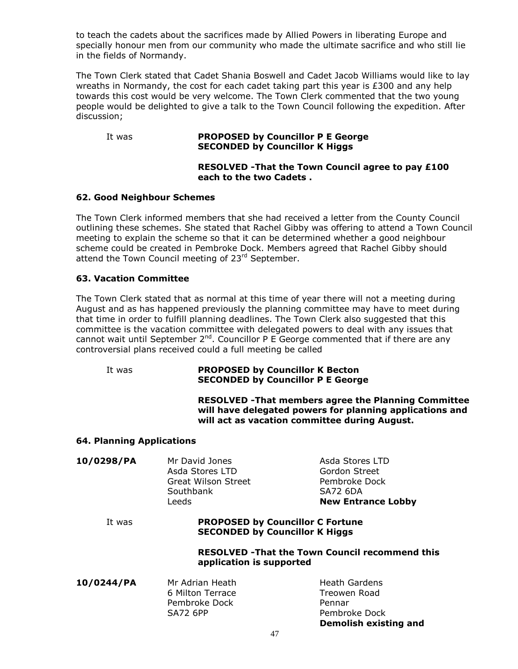to teach the cadets about the sacrifices made by Allied Powers in liberating Europe and specially honour men from our community who made the ultimate sacrifice and who still lie in the fields of Normandy.

The Town Clerk stated that Cadet Shania Boswell and Cadet Jacob Williams would like to lay wreaths in Normandy, the cost for each cadet taking part this year is  $E300$  and any help towards this cost would be very welcome. The Town Clerk commented that the two young people would be delighted to give a talk to the Town Council following the expedition. After discussion;

#### It was **PROPOSED by Councillor P E George SECONDED by Councillor K Higgs**

# **RESOLVED -That the Town Council agree to pay £100 each to the two Cadets .**

# **62. Good Neighbour Schemes**

The Town Clerk informed members that she had received a letter from the County Council outlining these schemes. She stated that Rachel Gibby was offering to attend a Town Council meeting to explain the scheme so that it can be determined whether a good neighbour scheme could be created in Pembroke Dock. Members agreed that Rachel Gibby should attend the Town Council meeting of 23<sup>rd</sup> September.

# **63. Vacation Committee**

The Town Clerk stated that as normal at this time of year there will not a meeting during August and as has happened previously the planning committee may have to meet during that time in order to fulfill planning deadlines. The Town Clerk also suggested that this committee is the vacation committee with delegated powers to deal with any issues that cannot wait until September  $2^{nd}$ . Councillor P E George commented that if there are any controversial plans received could a full meeting be called

# It was **PROPOSED by Councillor K Becton SECONDED by Councillor P E George**

**RESOLVED -That members agree the Planning Committee will have delegated powers for planning applications and will act as vacation committee during August.**

**Demolish existing and** 

# **64. Planning Applications**

| 10/0298/PA | Mr David Jones<br>Asda Stores LTD<br><b>Great Wilson Street</b><br>Southbank<br>Leeds | Asda Stores LTD<br>Gordon Street<br>Pembroke Dock<br><b>SA72 6DA</b><br><b>New Entrance Lobby</b> |  |
|------------|---------------------------------------------------------------------------------------|---------------------------------------------------------------------------------------------------|--|
| It was     | <b>PROPOSED by Councillor C Fortune</b><br><b>SECONDED by Councillor K Higgs</b>      |                                                                                                   |  |
|            | <b>RESOLVED - That the Town Council recommend this</b><br>application is supported    |                                                                                                   |  |
| 10/0244/PA | Mr Adrian Heath<br>6 Milton Terrace<br>Pembroke Dock<br><b>SA72 6PP</b>               | <b>Heath Gardens</b><br>Treowen Road<br>Pennar<br>Pembroke Dock                                   |  |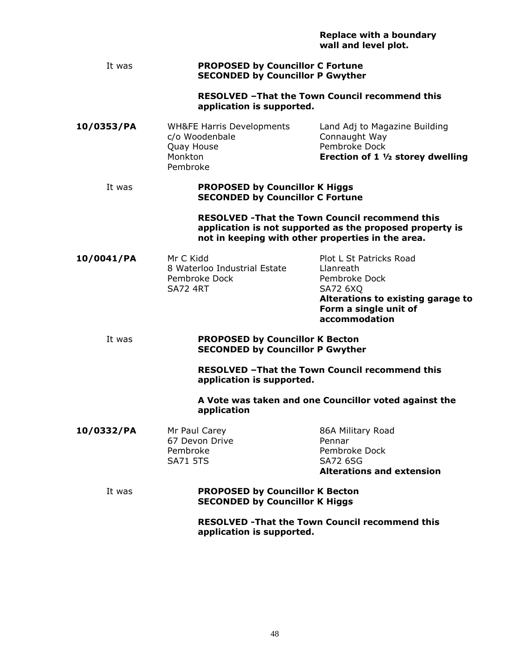|  |                      | <b>Replace with a boundary</b> |
|--|----------------------|--------------------------------|
|  | wall and level plot. |                                |

#### It was **PROPOSED by Councillor C Fortune SECONDED by Councillor P Gwyther**

**RESOLVED –That the Town Council recommend this application is supported.**

| 10/0353/PA | <b>WH&amp;FE Harris Developments</b> | Land Adj to Magazine Building               |
|------------|--------------------------------------|---------------------------------------------|
|            | c/o Woodenbale                       | Connaught Way                               |
|            | Quay House                           | Pembroke Dock                               |
|            | Monkton                              | Erection of 1 $\frac{1}{2}$ storey dwelling |
|            | Pembroke                             |                                             |
|            |                                      |                                             |

#### It was **PROPOSED by Councillor K Higgs SECONDED by Councillor C Fortune**

#### **RESOLVED -That the Town Council recommend this application is not supported as the proposed property is not in keeping with other properties in the area.**

**Form a single unit of accommodation**

**10/0041/PA** Mr C Kidd Plot L St Patricks Road 8 Waterloo Industrial Estate Llanreath Pembroke Dock Pembroke Dock SA72 4RT SA72 6XQ **Alterations to existing garage to** 

# It was **PROPOSED by Councillor K Becton SECONDED by Councillor P Gwyther**

**RESOLVED –That the Town Council recommend this application is supported.**

**A Vote was taken and one Councillor voted against the application**

**10/0332/PA** Mr Paul Carey **86A Military Road** 67 Devon Drive **Pennar** Pembroke Pembroke Dock SA71 5TS SA72 6SG **Alterations and extension**

# It was **PROPOSED by Councillor K Becton SECONDED by Councillor K Higgs**

**RESOLVED -That the Town Council recommend this application is supported.**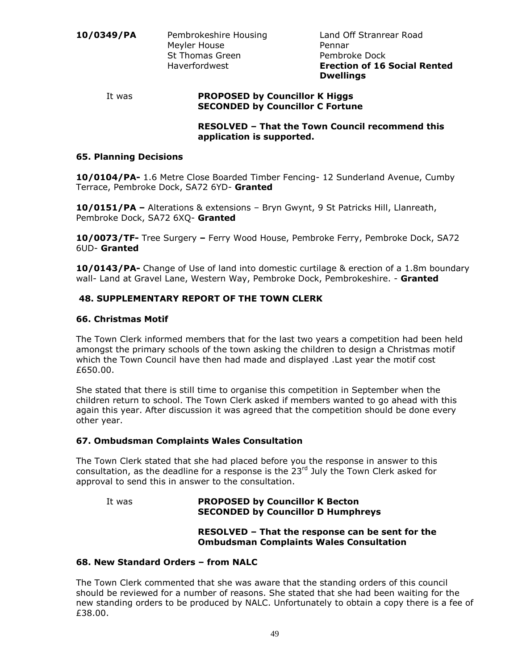#### It was **PROPOSED by Councillor K Higgs SECONDED by Councillor C Fortune**

**RESOLVED – That the Town Council recommend this application is supported.**

# **65. Planning Decisions**

**10/0104/PA-** 1.6 Metre Close Boarded Timber Fencing- 12 Sunderland Avenue, Cumby Terrace, Pembroke Dock, SA72 6YD- **Granted**

**10/0151/PA –** Alterations & extensions – Bryn Gwynt, 9 St Patricks Hill, Llanreath, Pembroke Dock, SA72 6XQ- **Granted**

**10/0073/TF-** Tree Surgery **–** Ferry Wood House, Pembroke Ferry, Pembroke Dock, SA72 6UD- **Granted**

**10/0143/PA-** Change of Use of land into domestic curtilage & erection of a 1.8m boundary wall- Land at Gravel Lane, Western Way, Pembroke Dock, Pembrokeshire. - **Granted**

# **48. SUPPLEMENTARY REPORT OF THE TOWN CLERK**

#### **66. Christmas Motif**

The Town Clerk informed members that for the last two years a competition had been held amongst the primary schools of the town asking the children to design a Christmas motif which the Town Council have then had made and displayed .Last year the motif cost £650.00.

She stated that there is still time to organise this competition in September when the children return to school. The Town Clerk asked if members wanted to go ahead with this again this year. After discussion it was agreed that the competition should be done every other year.

# **67. Ombudsman Complaints Wales Consultation**

The Town Clerk stated that she had placed before you the response in answer to this consultation, as the deadline for a response is the  $23<sup>rd</sup>$  July the Town Clerk asked for approval to send this in answer to the consultation.

# It was **PROPOSED by Councillor K Becton SECONDED by Councillor D Humphreys**

# **RESOLVED – That the response can be sent for the Ombudsman Complaints Wales Consultation**

# **68. New Standard Orders – from NALC**

The Town Clerk commented that she was aware that the standing orders of this council should be reviewed for a number of reasons. She stated that she had been waiting for the new standing orders to be produced by NALC. Unfortunately to obtain a copy there is a fee of £38.00.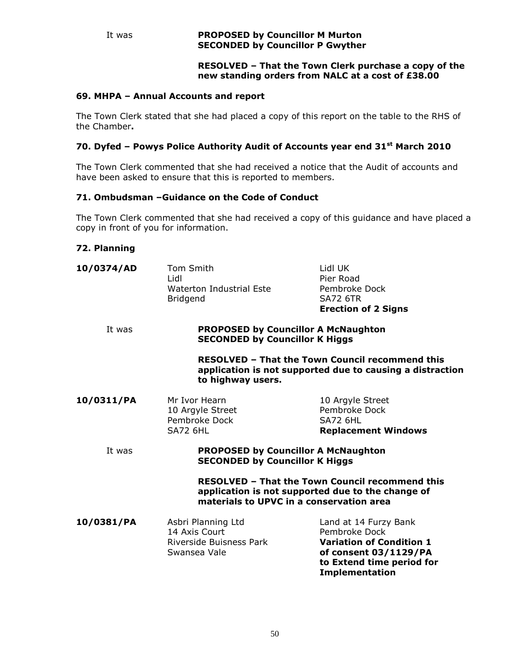# **RESOLVED – That the Town Clerk purchase a copy of the new standing orders from NALC at a cost of £38.00**

# **69. MHPA – Annual Accounts and report**

The Town Clerk stated that she had placed a copy of this report on the table to the RHS of the Chamber**.**

# **70. Dyfed – Powys Police Authority Audit of Accounts year end 31st March 2010**

The Town Clerk commented that she had received a notice that the Audit of accounts and have been asked to ensure that this is reported to members.

# **71. Ombudsman –Guidance on the Code of Conduct**

The Town Clerk commented that she had received a copy of this guidance and have placed a copy in front of you for information.

# **72. Planning**

| 10/0374/AD | Tom Smith<br>Lidl<br>Waterton Industrial Este<br>Bridgend                           | Lidl UK<br>Pier Road<br>Pembroke Dock<br><b>SA72 6TR</b><br><b>Erection of 2 Signs</b>                                                                   |
|------------|-------------------------------------------------------------------------------------|----------------------------------------------------------------------------------------------------------------------------------------------------------|
| It was     | <b>PROPOSED by Councillor A McNaughton</b><br><b>SECONDED by Councillor K Higgs</b> |                                                                                                                                                          |
|            | to highway users.                                                                   | <b>RESOLVED - That the Town Council recommend this</b><br>application is not supported due to causing a distraction                                      |
| 10/0311/PA | Mr Ivor Hearn<br>10 Argyle Street<br>Pembroke Dock<br><b>SA72 6HL</b>               | 10 Argyle Street<br>Pembroke Dock<br><b>SA72 6HL</b><br><b>Replacement Windows</b>                                                                       |
| It was     | <b>PROPOSED by Councillor A McNaughton</b><br><b>SECONDED by Councillor K Higgs</b> |                                                                                                                                                          |
|            |                                                                                     | <b>RESOLVED - That the Town Council recommend this</b><br>application is not supported due to the change of<br>materials to UPVC in a conservation area  |
| 10/0381/PA | Asbri Planning Ltd<br>14 Axis Court<br>Riverside Buisness Park<br>Swansea Vale      | Land at 14 Furzy Bank<br>Pembroke Dock<br><b>Variation of Condition 1</b><br>of consent 03/1129/PA<br>to Extend time period for<br><b>Implementation</b> |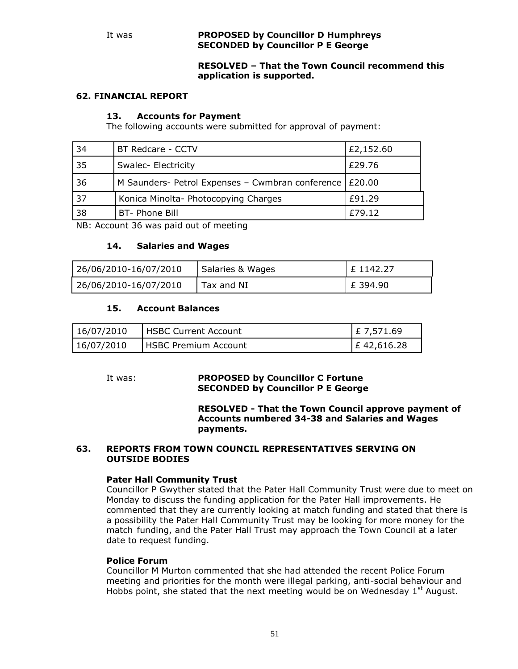#### It was **PROPOSED by Councillor D Humphreys SECONDED by Councillor P E George**

# **RESOLVED – That the Town Council recommend this application is supported.**

# **62. FINANCIAL REPORT**

# **13. Accounts for Payment**

The following accounts were submitted for approval of payment:

| 34 | BT Redcare - CCTV                                         | £2,152.60 |
|----|-----------------------------------------------------------|-----------|
| 35 | Swalec- Electricity                                       | £29.76    |
| 36 | M Saunders- Petrol Expenses – Cwmbran conference   £20.00 |           |
| 37 | Konica Minolta- Photocopying Charges                      | £91.29    |
| 38 | BT- Phone Bill                                            | £79.12    |

NB: Account 36 was paid out of meeting

# **14. Salaries and Wages**

| 26/06/2010-16/07/2010 | Salaries & Wages | F1142.27 |
|-----------------------|------------------|----------|
| 26/06/2010-16/07/2010 | Tax and NI       | £ 394.90 |

#### **15. Account Balances**

| 16/07/2010 | l HSBC Current Account        | $E$ 7,571.69  |
|------------|-------------------------------|---------------|
| 16/07/2010 | <b>I HSBC Premium Account</b> | $E$ 42,616.28 |

# It was: **PROPOSED by Councillor C Fortune SECONDED by Councillor P E George**

**RESOLVED - That the Town Council approve payment of Accounts numbered 34-38 and Salaries and Wages payments.**

#### **63. REPORTS FROM TOWN COUNCIL REPRESENTATIVES SERVING ON OUTSIDE BODIES**

# **Pater Hall Community Trust**

Councillor P Gwyther stated that the Pater Hall Community Trust were due to meet on Monday to discuss the funding application for the Pater Hall improvements. He commented that they are currently looking at match funding and stated that there is a possibility the Pater Hall Community Trust may be looking for more money for the match funding, and the Pater Hall Trust may approach the Town Council at a later date to request funding.

# **Police Forum**

Councillor M Murton commented that she had attended the recent Police Forum meeting and priorities for the month were illegal parking, anti-social behaviour and Hobbs point, she stated that the next meeting would be on Wednesday  $1<sup>st</sup>$  August.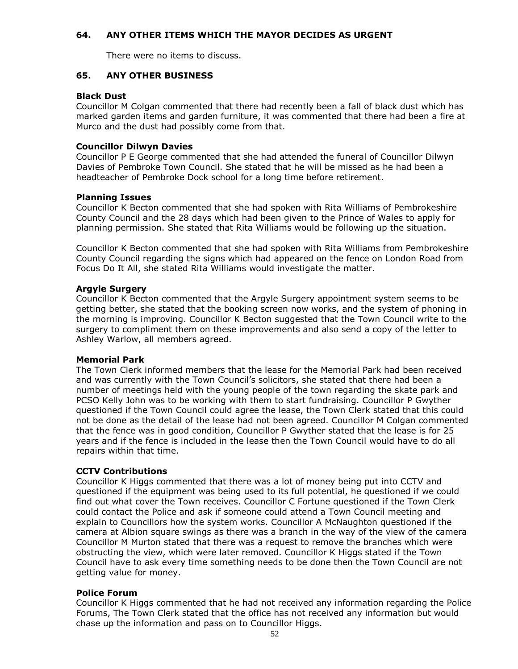# **64. ANY OTHER ITEMS WHICH THE MAYOR DECIDES AS URGENT**

There were no items to discuss.

# **65. ANY OTHER BUSINESS**

# **Black Dust**

Councillor M Colgan commented that there had recently been a fall of black dust which has marked garden items and garden furniture, it was commented that there had been a fire at Murco and the dust had possibly come from that.

# **Councillor Dilwyn Davies**

Councillor P E George commented that she had attended the funeral of Councillor Dilwyn Davies of Pembroke Town Council. She stated that he will be missed as he had been a headteacher of Pembroke Dock school for a long time before retirement.

# **Planning Issues**

Councillor K Becton commented that she had spoken with Rita Williams of Pembrokeshire County Council and the 28 days which had been given to the Prince of Wales to apply for planning permission. She stated that Rita Williams would be following up the situation.

Councillor K Becton commented that she had spoken with Rita Williams from Pembrokeshire County Council regarding the signs which had appeared on the fence on London Road from Focus Do It All, she stated Rita Williams would investigate the matter.

# **Argyle Surgery**

Councillor K Becton commented that the Argyle Surgery appointment system seems to be getting better, she stated that the booking screen now works, and the system of phoning in the morning is improving. Councillor K Becton suggested that the Town Council write to the surgery to compliment them on these improvements and also send a copy of the letter to Ashley Warlow, all members agreed.

# **Memorial Park**

The Town Clerk informed members that the lease for the Memorial Park had been received and was currently with the Town Council's solicitors, she stated that there had been a number of meetings held with the young people of the town regarding the skate park and PCSO Kelly John was to be working with them to start fundraising. Councillor P Gwyther questioned if the Town Council could agree the lease, the Town Clerk stated that this could not be done as the detail of the lease had not been agreed. Councillor M Colgan commented that the fence was in good condition, Councillor P Gwyther stated that the lease is for 25 years and if the fence is included in the lease then the Town Council would have to do all repairs within that time.

# **CCTV Contributions**

Councillor K Higgs commented that there was a lot of money being put into CCTV and questioned if the equipment was being used to its full potential, he questioned if we could find out what cover the Town receives. Councillor C Fortune questioned if the Town Clerk could contact the Police and ask if someone could attend a Town Council meeting and explain to Councillors how the system works. Councillor A McNaughton questioned if the camera at Albion square swings as there was a branch in the way of the view of the camera Councillor M Murton stated that there was a request to remove the branches which were obstructing the view, which were later removed. Councillor K Higgs stated if the Town Council have to ask every time something needs to be done then the Town Council are not getting value for money.

# **Police Forum**

Councillor K Higgs commented that he had not received any information regarding the Police Forums, The Town Clerk stated that the office has not received any information but would chase up the information and pass on to Councillor Higgs.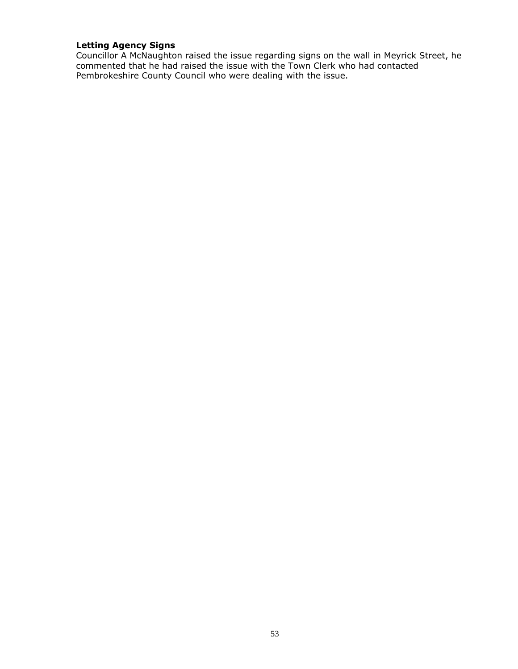# **Letting Agency Signs**

Councillor A McNaughton raised the issue regarding signs on the wall in Meyrick Street, he commented that he had raised the issue with the Town Clerk who had contacted Pembrokeshire County Council who were dealing with the issue.